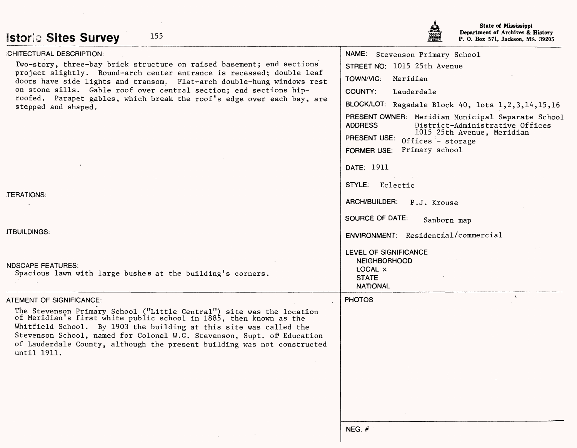| 155<br><b>istoric Sites Survey</b>                                                                                                                                                                                                                                                                                                                                                              | <b>State of Mississippi</b><br>Department of Archives & History<br>P. O. Box 571, Jackson, MS. 39205                                 |
|-------------------------------------------------------------------------------------------------------------------------------------------------------------------------------------------------------------------------------------------------------------------------------------------------------------------------------------------------------------------------------------------------|--------------------------------------------------------------------------------------------------------------------------------------|
| CHITECTURAL DESCRIPTION:                                                                                                                                                                                                                                                                                                                                                                        | NAME: Stevenson Primary School                                                                                                       |
| Two-story, three-bay brick structure on raised basement; end sections<br>project slightly. Round-arch center entrance is recessed; double leaf<br>doors have side lights and transom. Flat-arch double-hung windows rest<br>on stone sills. Gable roof over central section; end sections hip-<br>roofed. Parapet gables, which break the roof's edge over each bay, are<br>stepped and shaped. | STREET NO: 1015 25th Avenue                                                                                                          |
|                                                                                                                                                                                                                                                                                                                                                                                                 | TOWN/VIC:<br>Meridian                                                                                                                |
|                                                                                                                                                                                                                                                                                                                                                                                                 | COUNTY:<br>Lauderdale                                                                                                                |
|                                                                                                                                                                                                                                                                                                                                                                                                 | BLOCK/LOT: Ragsdale Block 40, lots 1,2,3,14,15,16                                                                                    |
|                                                                                                                                                                                                                                                                                                                                                                                                 | PRESENT OWNER: Meridian Municipal Separate School<br><b>ADDRESS</b><br>District-Administrative Offices<br>1015 25th Avenue, Meridian |
|                                                                                                                                                                                                                                                                                                                                                                                                 | PRESENT USE:<br>Offices - storage<br>Primary school<br><b>FORMER USE:</b>                                                            |
|                                                                                                                                                                                                                                                                                                                                                                                                 | DATE: 1911                                                                                                                           |
|                                                                                                                                                                                                                                                                                                                                                                                                 | STYLE:<br>Eclectic                                                                                                                   |
| TERATIONS:                                                                                                                                                                                                                                                                                                                                                                                      | ARCH/BUILDER:<br>P.J. Krouse                                                                                                         |
|                                                                                                                                                                                                                                                                                                                                                                                                 | <b>SOURCE OF DATE:</b><br>Sanborn map                                                                                                |
| <b>JTBUILDINGS:</b>                                                                                                                                                                                                                                                                                                                                                                             | ENVIRONMENT: Residential/commercial                                                                                                  |
| <b>NDSCAPE FEATURES:</b><br>Spacious lawn with large bushes at the building's corners.                                                                                                                                                                                                                                                                                                          | LEVEL OF SIGNIFICANCE<br><b>NEIGHBORHOOD</b><br>LOCAL <b>x</b><br><b>STATE</b><br><b>NATIONAL</b>                                    |
| ATEMENT OF SIGNIFICANCE:                                                                                                                                                                                                                                                                                                                                                                        | $\mathbf{A}$ .<br><b>PHOTOS</b>                                                                                                      |
| The Stevenson Primary School ("Little Central") site was the location of Meridian's first white public school in 1885, then known as the<br>Whitfield School. By 1903 the building at this site was called the<br>Stevenson School, named for Colonel W.G. Stevenson, Supt. of Education<br>of Lauderdale County, although the present building was not constructed<br>until 1911.              |                                                                                                                                      |
|                                                                                                                                                                                                                                                                                                                                                                                                 |                                                                                                                                      |

 $\sim$ 

 $\mathcal{A}$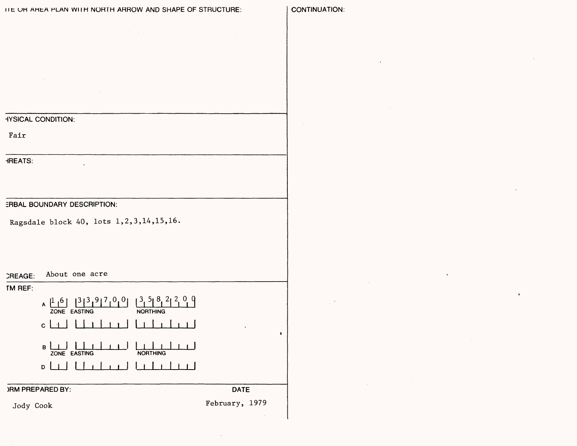| HE OR AREA PLAN WITH NORTH ARROW AND SHAPE OF STRUCTURE:             |                |
|----------------------------------------------------------------------|----------------|
|                                                                      |                |
|                                                                      |                |
|                                                                      |                |
|                                                                      |                |
|                                                                      |                |
|                                                                      |                |
| <b>HYSICAL CONDITION:</b>                                            |                |
| Fair                                                                 |                |
|                                                                      |                |
| <b>HREATS:</b>                                                       |                |
|                                                                      |                |
|                                                                      |                |
| ERBAL BOUNDARY DESCRIPTION:                                          |                |
| Ragsdale block 40, lots 1,2,3,14,15,16.                              |                |
|                                                                      |                |
|                                                                      |                |
|                                                                      |                |
| About one acre<br>CREAGE:                                            |                |
| TM REF:<br>$1^3$ , $5$ $1^8$ , $2$ $1^2$ , $0$ , $9$<br>${33397000}$ |                |
| A $\frac{116}{20}$ $\frac{333}{20}$<br><b>NORTHING</b>               |                |
| c I                                                                  |                |
|                                                                      |                |
| $\mathbf{B}$<br>ZONE EASTING<br><b>NORTHING</b>                      |                |
| $\mathbf{I}$ and $\mathbf{I}$<br>$\mathbf{L}$<br>$D$   $I$  <br>- 1  |                |
| <b>)RM PREPARED BY:</b>                                              | <b>DATE</b>    |
| Jody Cook                                                            | February, 1979 |
|                                                                      |                |

**CONTINUATION:**

 $\sim$ 

 $\bullet$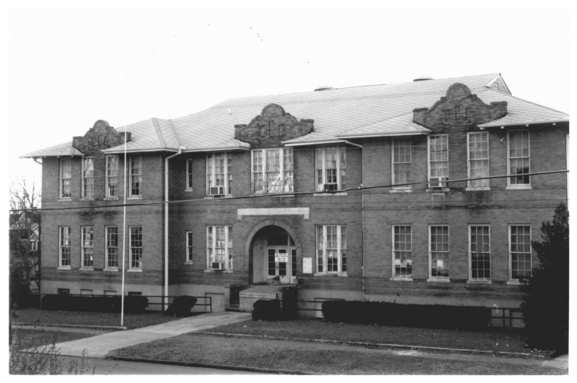